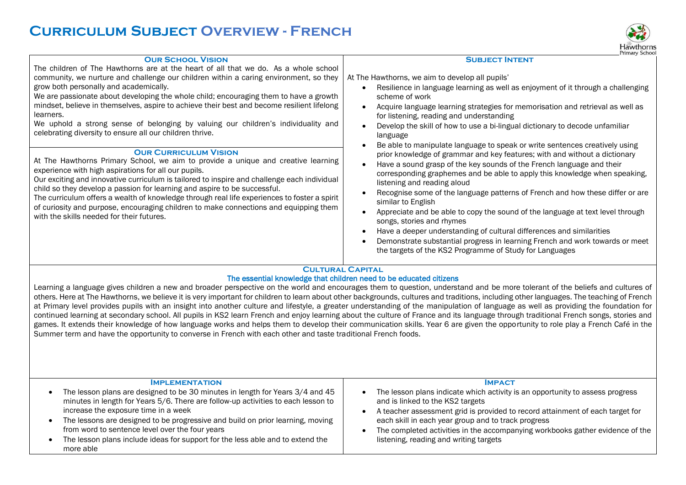## **Curriculum Subject Overview - French**



|                                                                                                                                                                                                                                                                                                                                                                                                                                                                                                                                                                                                                                                                                                                                                                                                                                                                                                                                                                                                                                                                                                                                                                                                        | Primary Schoo                                                                                                                                                                                                                                                                                                                                                                                                                                                                                                                                                                                                                                                                                                                                                                                                                                                                                                                                                                                                                                                                                                                             |
|--------------------------------------------------------------------------------------------------------------------------------------------------------------------------------------------------------------------------------------------------------------------------------------------------------------------------------------------------------------------------------------------------------------------------------------------------------------------------------------------------------------------------------------------------------------------------------------------------------------------------------------------------------------------------------------------------------------------------------------------------------------------------------------------------------------------------------------------------------------------------------------------------------------------------------------------------------------------------------------------------------------------------------------------------------------------------------------------------------------------------------------------------------------------------------------------------------|-------------------------------------------------------------------------------------------------------------------------------------------------------------------------------------------------------------------------------------------------------------------------------------------------------------------------------------------------------------------------------------------------------------------------------------------------------------------------------------------------------------------------------------------------------------------------------------------------------------------------------------------------------------------------------------------------------------------------------------------------------------------------------------------------------------------------------------------------------------------------------------------------------------------------------------------------------------------------------------------------------------------------------------------------------------------------------------------------------------------------------------------|
| <b>OUR SCHOOL VISION</b><br>The children of The Hawthorns are at the heart of all that we do. As a whole school<br>community, we nurture and challenge our children within a caring environment, so they<br>grow both personally and academically.<br>We are passionate about developing the whole child; encouraging them to have a growth<br>mindset, believe in themselves, aspire to achieve their best and become resilient lifelong<br>learners.<br>We uphold a strong sense of belonging by valuing our children's individuality and<br>celebrating diversity to ensure all our children thrive.<br><b>OUR CURRICULUM VISION</b><br>At The Hawthorns Primary School, we aim to provide a unique and creative learning<br>experience with high aspirations for all our pupils.<br>Our exciting and innovative curriculum is tailored to inspire and challenge each individual<br>child so they develop a passion for learning and aspire to be successful.<br>The curriculum offers a wealth of knowledge through real life experiences to foster a spirit<br>of curiosity and purpose, encouraging children to make connections and equipping them<br>with the skills needed for their futures. | <b>SUBJECT INTENT</b><br>At The Hawthorns, we aim to develop all pupils'<br>Resilience in language learning as well as enjoyment of it through a challenging<br>scheme of work<br>Acquire language learning strategies for memorisation and retrieval as well as<br>for listening, reading and understanding<br>Develop the skill of how to use a bi-lingual dictionary to decode unfamiliar<br>language<br>Be able to manipulate language to speak or write sentences creatively using<br>prior knowledge of grammar and key features; with and without a dictionary<br>Have a sound grasp of the key sounds of the French language and their<br>corresponding graphemes and be able to apply this knowledge when speaking,<br>listening and reading aloud<br>Recognise some of the language patterns of French and how these differ or are<br>similar to English<br>Appreciate and be able to copy the sound of the language at text level through<br>songs, stories and rhymes<br>Have a deeper understanding of cultural differences and similarities<br>Demonstrate substantial progress in learning French and work towards or meet |
|                                                                                                                                                                                                                                                                                                                                                                                                                                                                                                                                                                                                                                                                                                                                                                                                                                                                                                                                                                                                                                                                                                                                                                                                        | the targets of the KS2 Programme of Study for Languages                                                                                                                                                                                                                                                                                                                                                                                                                                                                                                                                                                                                                                                                                                                                                                                                                                                                                                                                                                                                                                                                                   |
|                                                                                                                                                                                                                                                                                                                                                                                                                                                                                                                                                                                                                                                                                                                                                                                                                                                                                                                                                                                                                                                                                                                                                                                                        | <b>CULTURAL CAPITAL</b><br>The essential knowledge that children need to be educated citizens                                                                                                                                                                                                                                                                                                                                                                                                                                                                                                                                                                                                                                                                                                                                                                                                                                                                                                                                                                                                                                             |
|                                                                                                                                                                                                                                                                                                                                                                                                                                                                                                                                                                                                                                                                                                                                                                                                                                                                                                                                                                                                                                                                                                                                                                                                        | Learning a language gives children a new and broader perspective on the world and encourages them to question, understand and be more tolerant of the beliefs and cultures of                                                                                                                                                                                                                                                                                                                                                                                                                                                                                                                                                                                                                                                                                                                                                                                                                                                                                                                                                             |

others. Here at The Hawthorns, we believe it is very important for children to learn about other backgrounds, cultures and traditions, including other languages. The teaching of French at Primary level provides pupils with an insight into another culture and lifestyle, a greater understanding of the manipulation of language as well as providing the foundation for continued learning at secondary school. All pupils in KS2 learn French and enjoy learning about the culture of France and its language through traditional French songs, stories and games. It extends their knowledge of how language works and helps them to develop their communication skills. Year 6 are given the opportunity to role play a French Café in the Summer term and have the opportunity to converse in French with each other and taste traditional French foods.

| <b>IMPLEMENTATION</b><br>The lesson plans are designed to be 30 minutes in length for Years 3/4 and 45<br>minutes in length for Years 5/6. There are follow-up activities to each lesson to<br>increase the exposure time in a week<br>The lessons are designed to be progressive and build on prior learning, moving<br>from word to sentence level over the four years<br>The lesson plans include ideas for support for the less able and to extend the<br>more able | <b>IMPACT</b><br>The lesson plans indicate which activity is an opportunity to assess progress<br>and is linked to the KS2 targets<br>A teacher assessment grid is provided to record attainment of each target for<br>each skill in each year group and to track progress<br>The completed activities in the accompanying workbooks gather evidence of the<br>listening, reading and writing targets |
|-------------------------------------------------------------------------------------------------------------------------------------------------------------------------------------------------------------------------------------------------------------------------------------------------------------------------------------------------------------------------------------------------------------------------------------------------------------------------|-------------------------------------------------------------------------------------------------------------------------------------------------------------------------------------------------------------------------------------------------------------------------------------------------------------------------------------------------------------------------------------------------------|
|-------------------------------------------------------------------------------------------------------------------------------------------------------------------------------------------------------------------------------------------------------------------------------------------------------------------------------------------------------------------------------------------------------------------------------------------------------------------------|-------------------------------------------------------------------------------------------------------------------------------------------------------------------------------------------------------------------------------------------------------------------------------------------------------------------------------------------------------------------------------------------------------|